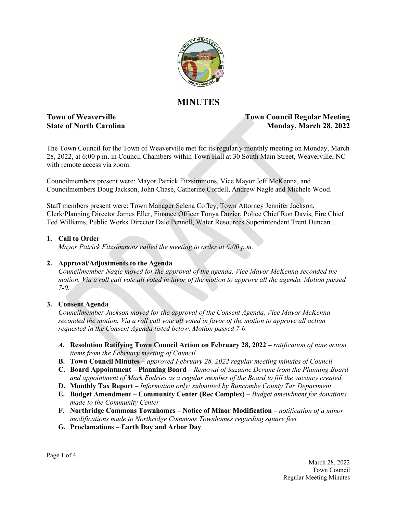

## **MINUTES**

#### **Town of Weaverville**  Town Council Regular Meeting **State of North Carolina Monday, March** 28, 2022

The Town Council for the Town of Weaverville met for its regularly monthly meeting on Monday, March 28, 2022, at 6:00 p.m. in Council Chambers within Town Hall at 30 South Main Street, Weaverville, NC with remote access via zoom.

Councilmembers present were: Mayor Patrick Fitzsimmons, Vice Mayor Jeff McKenna, and Councilmembers Doug Jackson, John Chase, Catherine Cordell, Andrew Nagle and Michele Wood.

Staff members present were: Town Manager Selena Coffey, Town Attorney Jennifer Jackson, Clerk/Planning Director James Eller, Finance Officer Tonya Dozier, Police Chief Ron Davis, Fire Chief Ted Williams, Public Works Director Dale Pennell, Water Resources Superintendent Trent Duncan.

#### **1. Call to Order**

*Mayor Patrick Fitzsimmons called the meeting to order at 6:00 p.m.*

#### **2. Approval/Adjustments to the Agenda**

*Councilmember Nagle moved for the approval of the agenda. Vice Mayor McKenna seconded the motion. Via a roll call vote all voted in favor of the motion to approve all the agenda. Motion passed 7-0.*

#### **3. Consent Agenda**

*Councilmember Jackson moved for the approval of the Consent Agenda. Vice Mayor McKenna seconded the motion. Via a roll call vote all voted in favor of the motion to approve all action requested in the Consent Agenda listed below. Motion passed 7-0.* 

- *A.* **Resolution Ratifying Town Council Action on February 28, 2022 –** *ratification of nine action items from the February meeting of Council*
- **B. Town Council Minutes –** *approved February 28, 2022 regular meeting minutes of Council*
- **C. Board Appointment – Planning Board –** *Removal of Suzanne Devane from the Planning Board and appointment of Mark Endries as a regular member of the Board to fill the vacancy created*
- **D. Monthly Tax Report –** *Information only; submitted by Buncombe County Tax Department*
- **E. Budget Amendment – Community Center (Rec Complex) –** *Budget amendment for donations made to the Community Center*
- **F. Northridge Commons Townhomes – Notice of Minor Modification –** *notification of a minor modifications made to Northridge Commons Townhomes regarding square feet*
- **G. Proclamations – Earth Day and Arbor Day**

Page 1 of 4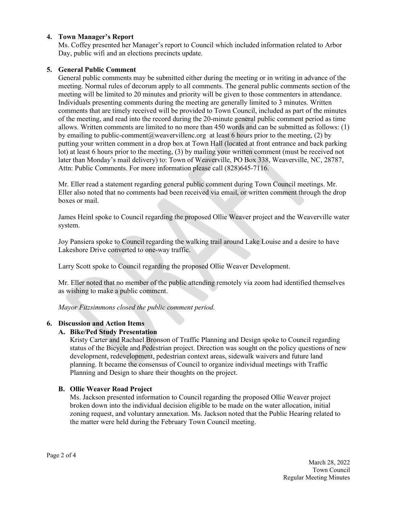#### **4. Town Manager's Report**

Ms. Coffey presented her Manager's report to Council which included information related to Arbor Day, public wifi and an elections precincts update.

#### **5. General Public Comment**

General public comments may be submitted either during the meeting or in writing in advance of the meeting. Normal rules of decorum apply to all comments. The general public comments section of the meeting will be limited to 20 minutes and priority will be given to those commenters in attendance. Individuals presenting comments during the meeting are generally limited to 3 minutes. Written comments that are timely received will be provided to Town Council, included as part of the minutes of the meeting, and read into the record during the 20-minute general public comment period as time allows. Written comments are limited to no more than 450 words and can be submitted as follows: (1) by emailing to public-comment@weavervillenc.org at least 6 hours prior to the meeting, (2) by putting your written comment in a drop box at Town Hall (located at front entrance and back parking lot) at least 6 hours prior to the meeting, (3) by mailing your written comment (must be received not later than Monday's mail delivery) to: Town of Weaverville, PO Box 338, Weaverville, NC, 28787, Attn: Public Comments. For more information please call (828)645-7116.

Mr. Eller read a statement regarding general public comment during Town Council meetings. Mr. Eller also noted that no comments had been received via email, or written comment through the drop boxes or mail.

James Heinl spoke to Council regarding the proposed Ollie Weaver project and the Weaverville water system.

Joy Pansiera spoke to Council regarding the walking trail around Lake Louise and a desire to have Lakeshore Drive converted to one-way traffic.

Larry Scott spoke to Council regarding the proposed Ollie Weaver Development.

Mr. Eller noted that no member of the public attending remotely via zoom had identified themselves as wishing to make a public comment.

*Mayor Fitzsimmons closed the public comment period.*

#### **6. Discussion and Action Items**

#### **A. Bike/Ped Study Presentation**

Kristy Carter and Rachael Bronson of Traffic Planning and Design spoke to Council regarding status of the Bicycle and Pedestrian project. Direction was sought on the policy questions of new development, redevelopment, pedestrian context areas, sidewalk waivers and future land planning. It became the consensus of Council to organize individual meetings with Traffic Planning and Design to share their thoughts on the project.

#### **B. Ollie Weaver Road Project**

Ms. Jackson presented information to Council regarding the proposed Ollie Weaver project broken down into the individual decision eligible to be made on the water allocation, initial zoning request, and voluntary annexation. Ms. Jackson noted that the Public Hearing related to the matter were held during the February Town Council meeting.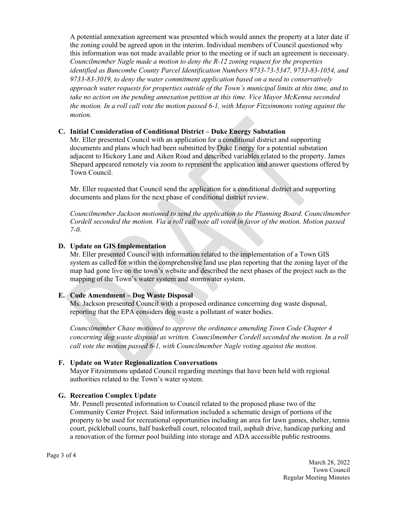A potential annexation agreement was presented which would annex the property at a later date if the zoning could be agreed upon in the interim. Individual members of Council questioned why this information was not made available prior to the meeting or if such an agreement is necessary. *Councilmember Nagle made a motion to deny the R-12 zoning request for the properties identified as Buncombe County Parcel Identification Numbers 9733-73-5347, 9733-83-1054, and 9733-83-3019, to deny the water commitment application based on a need to conservatively approach water requests for properties outside of the Town's municipal limits at this time, and to take no action on the pending annexation petition at this time. Vice Mayor McKenna seconded the motion. In a roll call vote the motion passed 6-1, with Mayor Fitzsimmons voting against the motion.* 

#### **C. Initial Consideration of Conditional District – Duke Energy Substation**

Mr. Eller presented Council with an application for a conditional district and supporting documents and plans which had been submitted by Duke Energy for a potential substation adjacent to Hickory Lane and Aiken Road and described variables related to the property. James Shepard appeared remotely via zoom to represent the application and answer questions offered by Town Council.

Mr. Eller requested that Council send the application for a conditional district and supporting documents and plans for the next phase of conditional district review.

*Councilmember Jackson motioned to send the application to the Planning Board. Councilmember Cordell seconded the motion. Via a roll call vote all voted in favor of the motion. Motion passed 7-0.* 

#### **D. Update on GIS Implementation**

Mr. Eller presented Council with information related to the implementation of a Town GIS system as called for within the comprehensive land use plan reporting that the zoning layer of the map had gone live on the town's website and described the next phases of the project such as the mapping of the Town's water system and stormwater system.

#### **E. Code Amendment – Dog Waste Disposal**

Ms. Jackson presented Council with a proposed ordinance concerning dog waste disposal, reporting that the EPA considers dog waste a pollutant of water bodies.

*Councilmember Chase motioned to approve the ordinance amending Town Code Chapter 4 concerning dog waste disposal as written. Councilmember Cordell seconded the motion. In a roll call vote the motion passed 6-1, with Councilmember Nagle voting against the motion.* 

#### **F. Update on Water Regionalization Conversations**

Mayor Fitzsimmons updated Council regarding meetings that have been held with regional authorities related to the Town's water system.

#### **G. Recreation Complex Update**

Mr. Pennell presented information to Council related to the proposed phase two of the Community Center Project. Said information included a schematic design of portions of the property to be used for recreational opportunities including an area for lawn games, shelter, tennis court, pickleball courts, half basketball court, relocated trail, asphalt drive, handicap parking and a renovation of the former pool building into storage and ADA accessible public restrooms.

March 28, 2022 Town Council Regular Meeting Minutes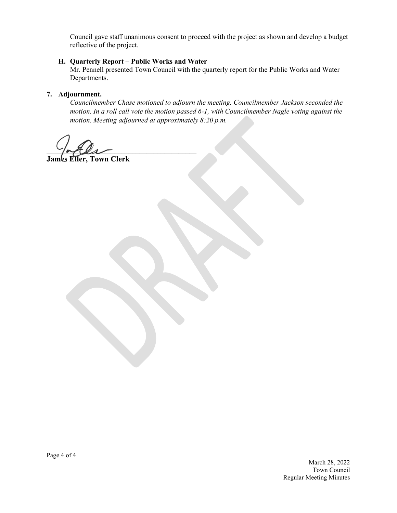Council gave staff unanimous consent to proceed with the project as shown and develop a budget reflective of the project.

#### **H. Quarterly Report – Public Works and Water**

Mr. Pennell presented Town Council with the quarterly report for the Public Works and Water Departments.

#### **7. Adjournment.**

*Councilmember Chase motioned to adjourn the meeting. Councilmember Jackson seconded the motion. In a roll call vote the motion passed 6-1, with Councilmember Nagle voting against the motion. Meeting adjourned at approximately 8:20 p.m.* 

 $\frac{1}{2}$ 

**James Eller, Town Clerk**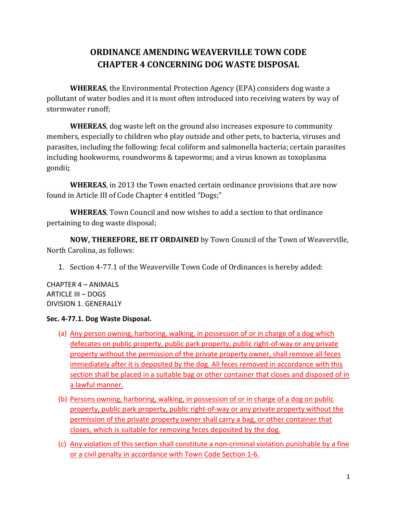# **ORDINANCE AMENDING WEAVERVILLE TOWN CODE CHAPTER 4 CONCERNING DOG WASTE DISPOSAL**

**WHEREAS**, the Environmental Protection Agency (EPA) considers dog waste a pollutant of water bodies and it is most often introduced into receiving waters by way of stormwater runoff;

**WHEREAS**, dog waste left on the ground also increases exposure to community members, especially to children who play outside and other pets, to bacteria, viruses and parasites, including the following: fecal coliform and salmonella bacteria; certain parasites including hookworms, roundworms & tapeworms; and a virus known as toxoplasma gondii**;**

**WHEREAS**, in 2013 the Town enacted certain ordinance provisions that are now found in Article III of Code Chapter 4 entitled "Dogs;"

**WHEREAS**, Town Council and now wishes to add a section to that ordinance pertaining to dog waste disposal;

**NOW, THEREFORE, BE IT ORDAINED** by Town Council of the Town of Weaverville, North Carolina, as follows:

1. Section 4-77.1 of the Weaverville Town Code of Ordinances is hereby added:

CHAPTER 4 – ANIMALS ARTICLE III – DOGS DIVISION 1. GENERALLY

### **Sec. 4-77.1. Dog Waste Disposal.**

- (a) Any person owning, harboring, walking, in possession of or in charge of a dog which defecates on public property, public park property, public right-of-way or any private property without the permission of the private property owner, shall remove all feces immediately after it is deposited by the dog. All feces removed in accordance with this section shall be placed in a suitable bag or other container that closes and disposed of in a lawful manner.
- (b) Persons owning, harboring, walking, in possession of or in charge of a dog on public property, public park property, public right-of-way or any private property without the permission of the private property owner shall carry a bag, or other container that closes, which is suitable for removing feces deposited by the dog.
- (c) Any violation of this section shall constitute a non-criminal violation punishable by a fine or a civil penalty in accordance with Town Code Section 1-6.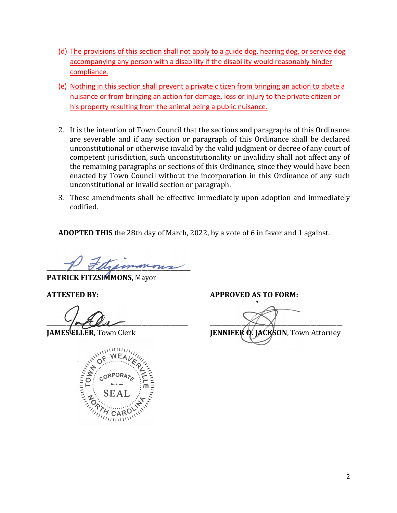- (d) The provisions of this section shall not apply to a guide dog, hearing dog, or service dog accompanying any person with a disability if the disability would reasonably hinder compliance.
- (e) Nothing in this section shall prevent a private citizen from bringing an action to abate a nuisance or from bringing an action for damage, loss or injury to the private citizen or his property resulting from the animal being a public nuisance.
- 2. It is the intention of Town Council that the sections and paragraphs of this Ordinance are severable and if any section or paragraph of this Ordinance shall be declared unconstitutional or otherwise invalid by the valid judgment or decree of any court of competent jurisdiction, such unconstitutionality or invalidity shall not affect any of the remaining paragraphs or sections of this Ordinance, since they would have been enacted by Town Council without the incorporation in this Ordinance of any such unconstitutional or invalid section or paragraph.
- 3. These amendments shall be effective immediately upon adoption and immediately codified.

**ADOPTED THIS** the 28th day of March, 2022, by a vote of 6 in favor and 1 against.

 $\Gamma$  disponsions

**PATRICK FITZSIMMONS**, Mayor



**ATTESTED BY: APPROVED AS TO FORM:**

 $\frac{1}{\sqrt{1-\lambda}}$ **JAMES ELLER**, Town Clerk **JENNIFER O. JACKSON**, Town Attorney